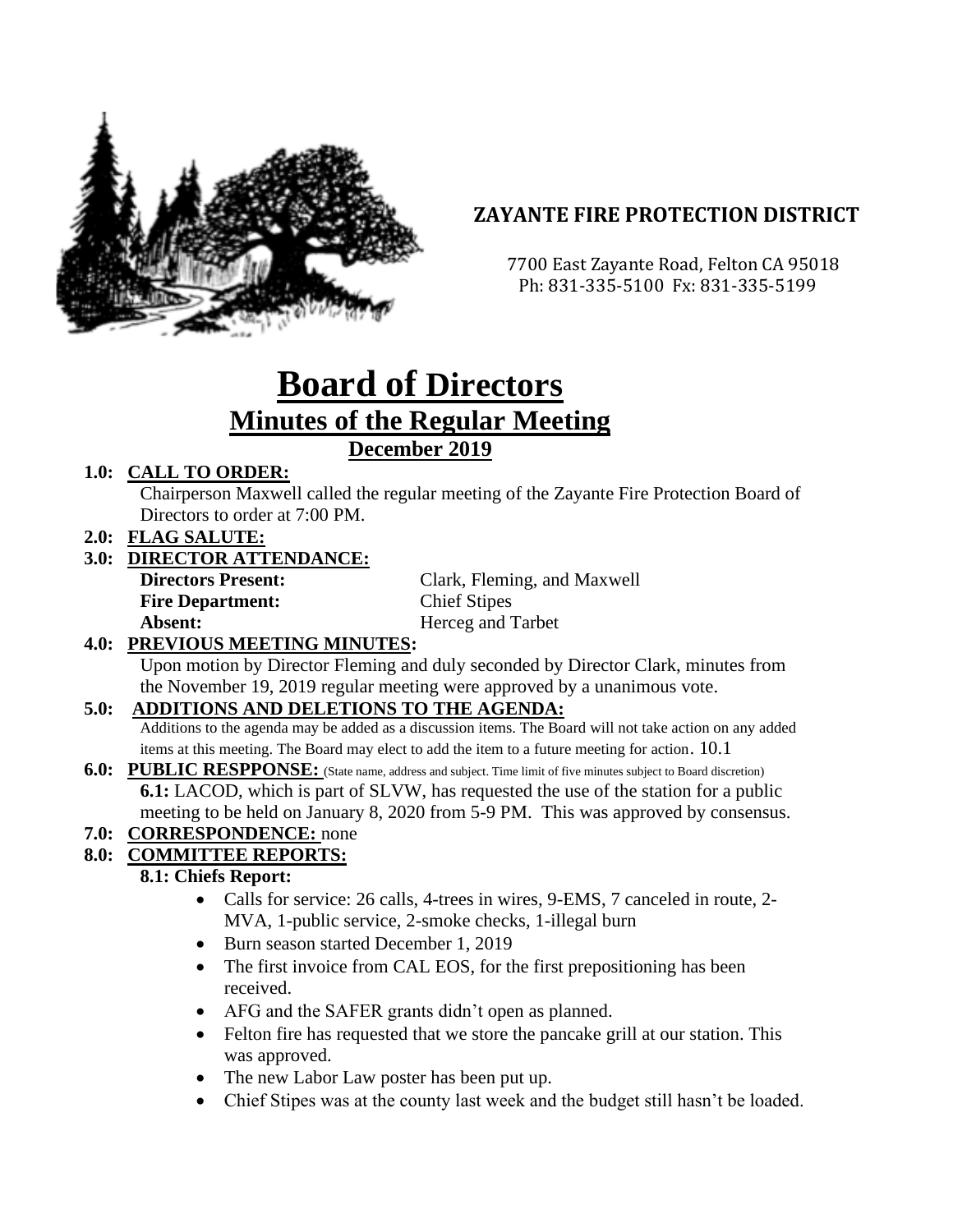

# **ZAYANTE FIRE PROTECTION DISTRICT**

 7700 East Zayante Road, Felton CA 95018 Ph: 831-335-5100 Fx: 831-335-5199

# **Board of Directors Minutes of the Regular Meeting December 2019**

## **1.0: CALL TO ORDER:**

Chairperson Maxwell called the regular meeting of the Zayante Fire Protection Board of Directors to order at 7:00 PM.

**2.0: FLAG SALUTE:**

## **3.0: DIRECTOR ATTENDANCE:**

| <b>Directors Present:</b> | Clark, Fleming, and Maxwell |
|---------------------------|-----------------------------|
| <b>Fire Department:</b>   | <b>Chief Stipes</b>         |
| Absent:                   | Herceg and Tarbet           |
|                           |                             |

#### **4.0: PREVIOUS MEETING MINUTES:**

Upon motion by Director Fleming and duly seconded by Director Clark, minutes from the November 19, 2019 regular meeting were approved by a unanimous vote.

#### **5.0: ADDITIONS AND DELETIONS TO THE AGENDA:**

Additions to the agenda may be added as a discussion items. The Board will not take action on any added items at this meeting. The Board may elect to add the item to a future meeting for action. 10.1

#### **6.0: PUBLIC RESPPONSE:** (State name, address and subject. Time limit of five minutes subject to Board discretion) **6.1:** LACOD, which is part of SLVW, has requested the use of the station for a public meeting to be held on January 8, 2020 from 5-9 PM. This was approved by consensus.

## **7.0: CORRESPONDENCE:** none

#### **8.0: COMMITTEE REPORTS:**

#### **8.1: Chiefs Report:**

- Calls for service: 26 calls, 4-trees in wires, 9-EMS, 7 canceled in route, 2-MVA, 1-public service, 2-smoke checks, 1-illegal burn
- Burn season started December 1, 2019
- The first invoice from CAL EOS, for the first prepositioning has been received.
- AFG and the SAFER grants didn't open as planned.
- Felton fire has requested that we store the pancake grill at our station. This was approved.
- The new Labor Law poster has been put up.
- Chief Stipes was at the county last week and the budget still hasn't be loaded.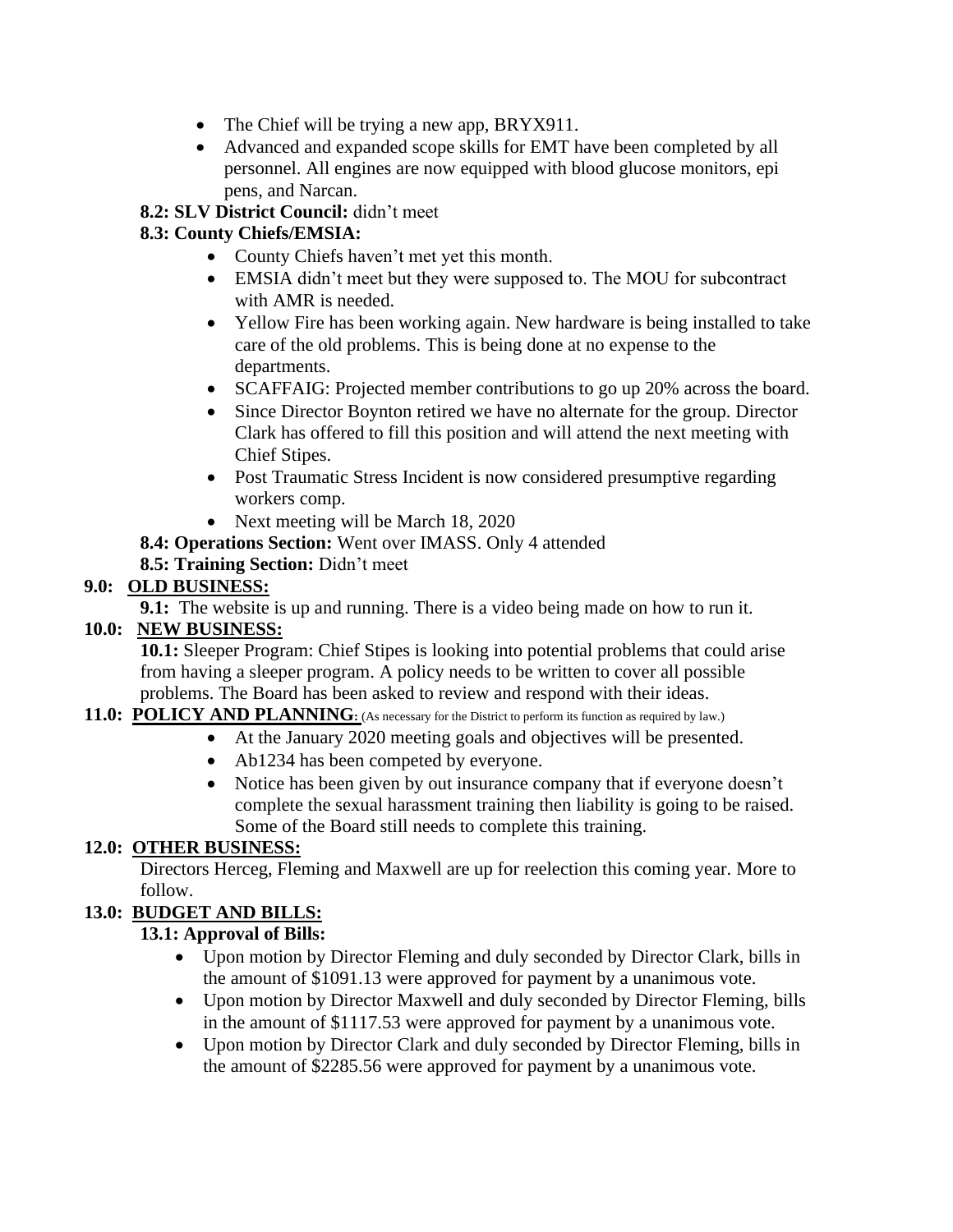- The Chief will be trying a new app, BRYX911.
- Advanced and expanded scope skills for EMT have been completed by all personnel. All engines are now equipped with blood glucose monitors, epi pens, and Narcan.

#### **8.2: SLV District Council:** didn't meet

#### **8.3: County Chiefs/EMSIA:**

- County Chiefs haven't met yet this month.
- EMSIA didn't meet but they were supposed to. The MOU for subcontract with AMR is needed.
- Yellow Fire has been working again. New hardware is being installed to take care of the old problems. This is being done at no expense to the departments.
- SCAFFAIG: Projected member contributions to go up 20% across the board.
- Since Director Boynton retired we have no alternate for the group. Director Clark has offered to fill this position and will attend the next meeting with Chief Stipes.
- Post Traumatic Stress Incident is now considered presumptive regarding workers comp.
- Next meeting will be March 18, 2020
- **8.4: Operations Section:** Went over IMASS. Only 4 attended
- **8.5: Training Section:** Didn't meet

#### **9.0: OLD BUSINESS:**

**9.1:** The website is up and running. There is a video being made on how to run it.

#### **10.0: NEW BUSINESS:**

**10.1:** Sleeper Program: Chief Stipes is looking into potential problems that could arise from having a sleeper program. A policy needs to be written to cover all possible problems. The Board has been asked to review and respond with their ideas.

#### **11.0: POLICY AND PLANNING**: (As necessary for the District to perform its function as required by law.)

- At the January 2020 meeting goals and objectives will be presented.
- Ab1234 has been competed by everyone.
- Notice has been given by out insurance company that if everyone doesn't complete the sexual harassment training then liability is going to be raised. Some of the Board still needs to complete this training.

#### **12.0: OTHER BUSINESS:**

Directors Herceg, Fleming and Maxwell are up for reelection this coming year. More to follow.

## **13.0: BUDGET AND BILLS:**

#### **13.1: Approval of Bills:**

- Upon motion by Director Fleming and duly seconded by Director Clark, bills in the amount of \$1091.13 were approved for payment by a unanimous vote.
- Upon motion by Director Maxwell and duly seconded by Director Fleming, bills in the amount of \$1117.53 were approved for payment by a unanimous vote.
- Upon motion by Director Clark and duly seconded by Director Fleming, bills in the amount of \$2285.56 were approved for payment by a unanimous vote.